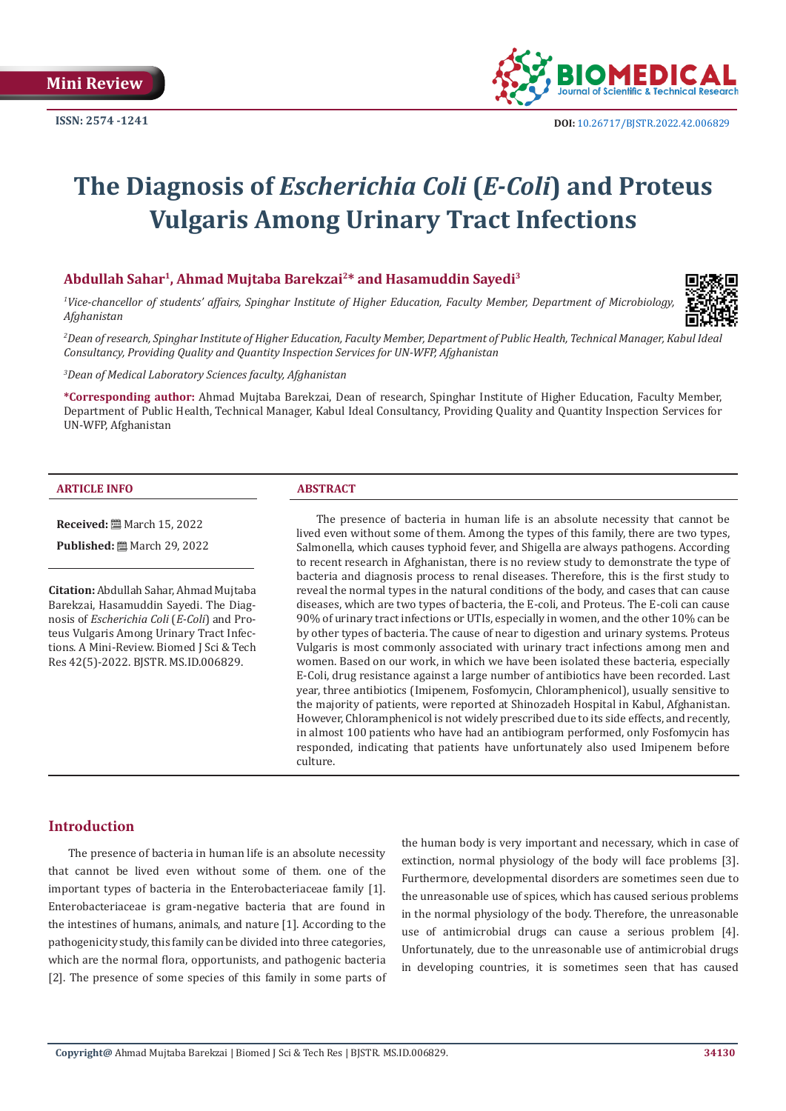

# **The Diagnosis of** *Escherichia Coli* **(***E-Coli***) and Proteus Vulgaris Among Urinary Tract Infections**

#### **Abdullah Sahar1, Ahmad Mujtaba Barekzai2\* and Hasamuddin Sayedi3**

*1 Vice-chancellor of students' affairs, Spinghar Institute of Higher Education, Faculty Member, Department of Microbiology, Afghanistan*



*2 Dean of research, Spinghar Institute of Higher Education, Faculty Member, Department of Public Health, Technical Manager, Kabul Ideal Consultancy, Providing Quality and Quantity Inspection Services for UN-WFP, Afghanistan*

*3 Dean of Medical Laboratory Sciences faculty, Afghanistan*

**\*Corresponding author:** Ahmad Mujtaba Barekzai, Dean of research, Spinghar Institute of Higher Education, Faculty Member, Department of Public Health, Technical Manager, Kabul Ideal Consultancy, Providing Quality and Quantity Inspection Services for UN-WFP, Afghanistan

#### **ARTICLE INFO ABSTRACT**

**Received:** ■ March 15, 2022

**Published:** ■ March 29, 2022

**Citation:** Abdullah Sahar, Ahmad Mujtaba Barekzai, Hasamuddin Sayedi. The Diagnosis of *Escherichia Coli* (*E-Coli*) and Proteus Vulgaris Among Urinary Tract Infections. A Mini-Review. Biomed J Sci & Tech Res 42(5)-2022. BJSTR. MS.ID.006829.

The presence of bacteria in human life is an absolute necessity that cannot be lived even without some of them. Among the types of this family, there are two types, Salmonella, which causes typhoid fever, and Shigella are always pathogens. According to recent research in Afghanistan, there is no review study to demonstrate the type of bacteria and diagnosis process to renal diseases. Therefore, this is the first study to reveal the normal types in the natural conditions of the body, and cases that can cause diseases, which are two types of bacteria, the E-coli, and Proteus. The E-coli can cause 90% of urinary tract infections or UTIs, especially in women, and the other 10% can be by other types of bacteria. The cause of near to digestion and urinary systems. Proteus Vulgaris is most commonly associated with urinary tract infections among men and women. Based on our work, in which we have been isolated these bacteria, especially E-Coli, drug resistance against a large number of antibiotics have been recorded. Last year, three antibiotics (Imipenem, Fosfomycin, Chloramphenicol), usually sensitive to the majority of patients, were reported at Shinozadeh Hospital in Kabul, Afghanistan. However, Chloramphenicol is not widely prescribed due to its side effects, and recently, in almost 100 patients who have had an antibiogram performed, only Fosfomycin has responded, indicating that patients have unfortunately also used Imipenem before culture.

## **Introduction**

The presence of bacteria in human life is an absolute necessity that cannot be lived even without some of them. one of the important types of bacteria in the Enterobacteriaceae family [1]. Enterobacteriaceae is gram-negative bacteria that are found in the intestines of humans, animals, and nature [1]. According to the pathogenicity study, this family can be divided into three categories, which are the normal flora, opportunists, and pathogenic bacteria [2]. The presence of some species of this family in some parts of the human body is very important and necessary, which in case of extinction, normal physiology of the body will face problems [3]. Furthermore, developmental disorders are sometimes seen due to the unreasonable use of spices, which has caused serious problems in the normal physiology of the body. Therefore, the unreasonable use of antimicrobial drugs can cause a serious problem [4]. Unfortunately, due to the unreasonable use of antimicrobial drugs in developing countries, it is sometimes seen that has caused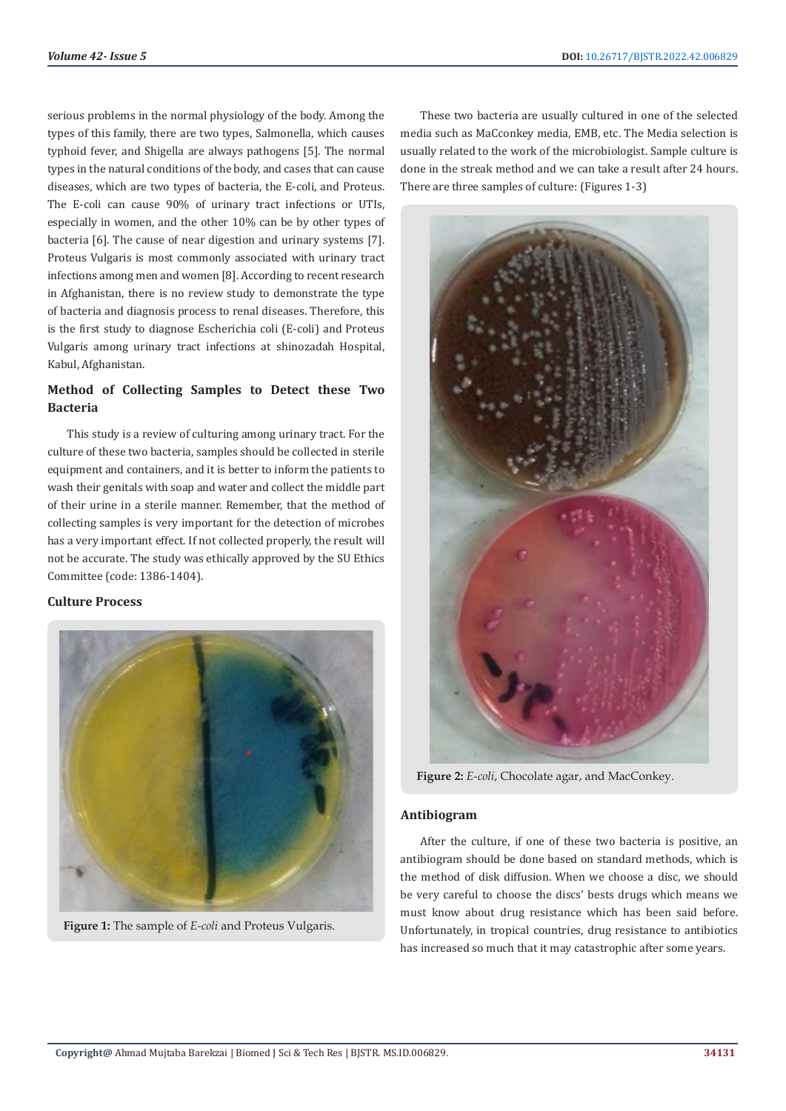serious problems in the normal physiology of the body. Among the types of this family, there are two types, Salmonella, which causes typhoid fever, and Shigella are always pathogens [5]. The normal types in the natural conditions of the body, and cases that can cause diseases, which are two types of bacteria, the E-coli, and Proteus. The E-coli can cause 90% of urinary tract infections or UTIs, especially in women, and the other 10% can be by other types of bacteria [6]. The cause of near digestion and urinary systems [7]. Proteus Vulgaris is most commonly associated with urinary tract infections among men and women [8]. According to recent research in Afghanistan, there is no review study to demonstrate the type of bacteria and diagnosis process to renal diseases. Therefore, this is the first study to diagnose Escherichia coli (E-coli) and Proteus Vulgaris among urinary tract infections at shinozadah Hospital, Kabul, Afghanistan.

# **Method of Collecting Samples to Detect these Two Bacteria**

This study is a review of culturing among urinary tract. For the culture of these two bacteria, samples should be collected in sterile equipment and containers, and it is better to inform the patients to wash their genitals with soap and water and collect the middle part of their urine in a sterile manner. Remember, that the method of collecting samples is very important for the detection of microbes has a very important effect. If not collected properly, the result will not be accurate. The study was ethically approved by the SU Ethics Committee (code: 1386-1404).

#### **Culture Process**



**Figure 1:** The sample of *E-coli* and Proteus Vulgaris.

These two bacteria are usually cultured in one of the selected media such as MaCconkey media, EMB, etc. The Media selection is usually related to the work of the microbiologist. Sample culture is done in the streak method and we can take a result after 24 hours. There are three samples of culture: (Figures 1-3)

**Figure 2:** *E-coli*, Chocolate agar, and MacConkey.

#### **Antibiogram**

After the culture, if one of these two bacteria is positive, an antibiogram should be done based on standard methods, which is the method of disk diffusion. When we choose a disc, we should be very careful to choose the discs' bests drugs which means we must know about drug resistance which has been said before. Unfortunately, in tropical countries, drug resistance to antibiotics has increased so much that it may catastrophic after some years.